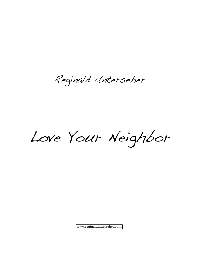Reginald Unterseher

Love Your Neighbor

www.reginaldunterseher.com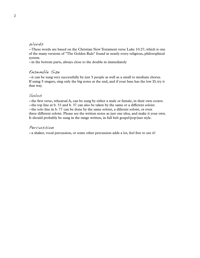## Words

 $-$ These words are based on the Christian New Testament verse Luke 10:27, which is one of the many versions of "The Golden Rule" found in nearly every religious, philosophical system.

--in the bottom parts, always close to the double m immediately

## Ensemble Size

--it can be sung very successfully by just 5 people as well as a small to medium chorus.<br>If using 5 singers, sing only the big notes at the end, and if your bass has the low D, try it that way.

## Solos

--the first verse, rehearsal A, can be sung by either a male or female, in their own octave. --the top line at b. 33 and b. 37 can also be taken by the same or a different soloist --the solo line in b. 77 can be done by the same soloist, a diferent soloist, or even three different soloist. Please see the written notes as just one idea, and make it your own. It should probably be sung in the range written, in full belt gospel/pop/jazz style.

## Percussion

--a shaker, vocal percussion, or some other percussion adds a lot, feel free to use it!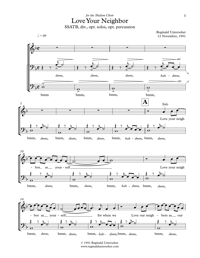



<sup>©</sup> 1991 Reginald Unterseher www.reginaldunterseher.com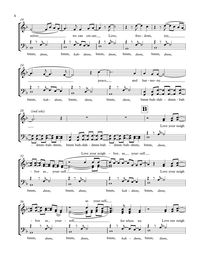

bmm, *dmm,* bmm, *dmm,* bmm, *bah* - *dmm,* bmm, *dmm,*

4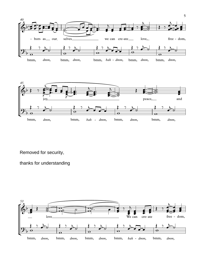



Removed for security,

thanks for understanding

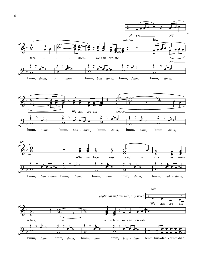